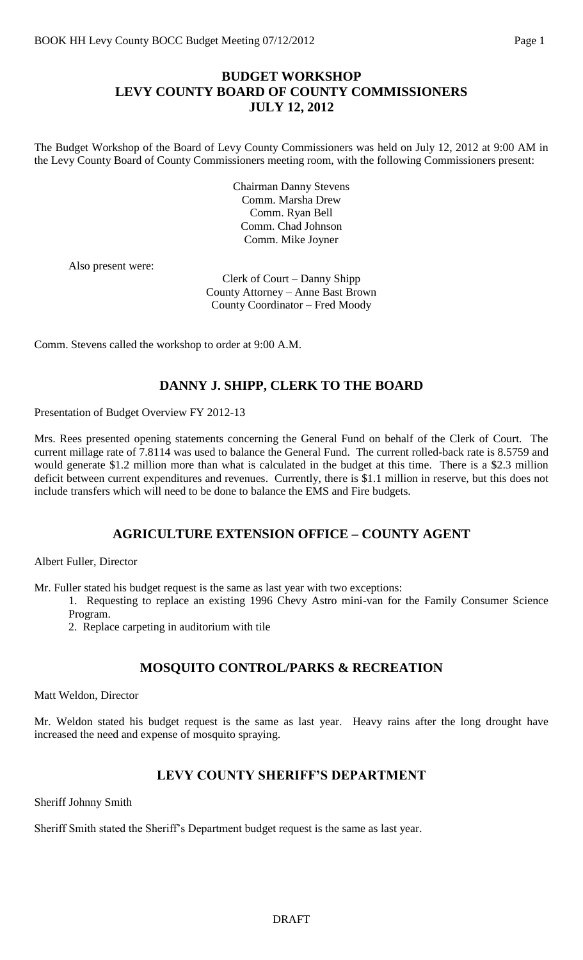# **BUDGET WORKSHOP LEVY COUNTY BOARD OF COUNTY COMMISSIONERS JULY 12, 2012**

The Budget Workshop of the Board of Levy County Commissioners was held on July 12, 2012 at 9:00 AM in the Levy County Board of County Commissioners meeting room, with the following Commissioners present:

> Chairman Danny Stevens Comm. Marsha Drew Comm. Ryan Bell Comm. Chad Johnson Comm. Mike Joyner

Also present were:

Clerk of Court – Danny Shipp County Attorney – Anne Bast Brown County Coordinator – Fred Moody

Comm. Stevens called the workshop to order at 9:00 A.M.

#### **DANNY J. SHIPP, CLERK TO THE BOARD**

Presentation of Budget Overview FY 2012-13

Mrs. Rees presented opening statements concerning the General Fund on behalf of the Clerk of Court. The current millage rate of 7.8114 was used to balance the General Fund. The current rolled-back rate is 8.5759 and would generate \$1.2 million more than what is calculated in the budget at this time. There is a \$2.3 million deficit between current expenditures and revenues. Currently, there is \$1.1 million in reserve, but this does not include transfers which will need to be done to balance the EMS and Fire budgets.

#### **AGRICULTURE EXTENSION OFFICE – COUNTY AGENT**

Albert Fuller, Director

Mr. Fuller stated his budget request is the same as last year with two exceptions:

1. Requesting to replace an existing 1996 Chevy Astro mini-van for the Family Consumer Science Program.

2. Replace carpeting in auditorium with tile

# **MOSQUITO CONTROL/PARKS & RECREATION**

Matt Weldon, Director

Mr. Weldon stated his budget request is the same as last year. Heavy rains after the long drought have increased the need and expense of mosquito spraying.

# **LEVY COUNTY SHERIFF'S DEPARTMENT**

Sheriff Johnny Smith

Sheriff Smith stated the Sheriff's Department budget request is the same as last year.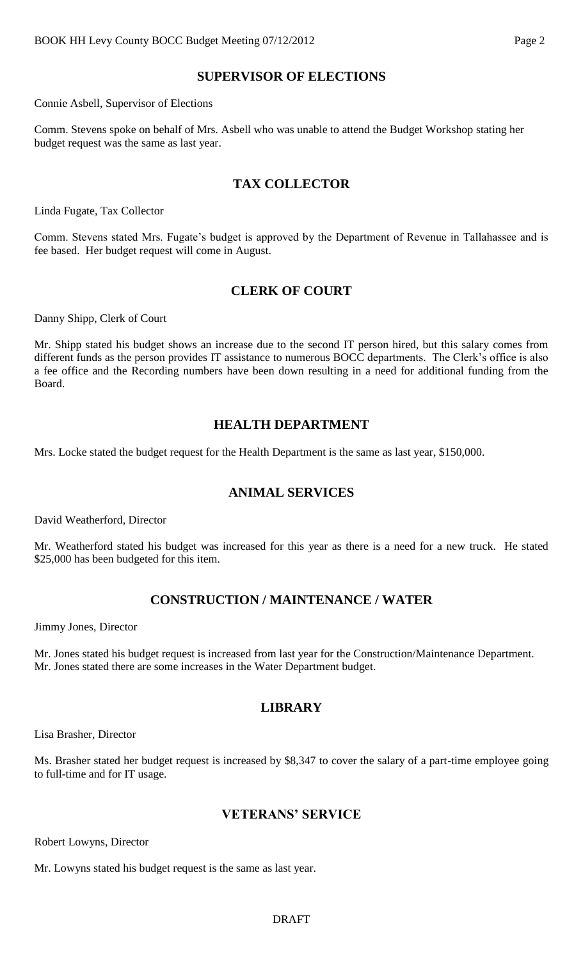# **SUPERVISOR OF ELECTIONS**

Connie Asbell, Supervisor of Elections

Comm. Stevens spoke on behalf of Mrs. Asbell who was unable to attend the Budget Workshop stating her budget request was the same as last year.

#### **TAX COLLECTOR**

Linda Fugate, Tax Collector

Comm. Stevens stated Mrs. Fugate's budget is approved by the Department of Revenue in Tallahassee and is fee based. Her budget request will come in August.

#### **CLERK OF COURT**

Danny Shipp, Clerk of Court

Mr. Shipp stated his budget shows an increase due to the second IT person hired, but this salary comes from different funds as the person provides IT assistance to numerous BOCC departments. The Clerk's office is also a fee office and the Recording numbers have been down resulting in a need for additional funding from the Board.

#### **HEALTH DEPARTMENT**

Mrs. Locke stated the budget request for the Health Department is the same as last year, \$150,000.

# **ANIMAL SERVICES**

David Weatherford, Director

Mr. Weatherford stated his budget was increased for this year as there is a need for a new truck. He stated \$25,000 has been budgeted for this item.

# **CONSTRUCTION / MAINTENANCE / WATER**

Jimmy Jones, Director

Mr. Jones stated his budget request is increased from last year for the Construction/Maintenance Department. Mr. Jones stated there are some increases in the Water Department budget.

# **LIBRARY**

Lisa Brasher, Director

Ms. Brasher stated her budget request is increased by \$8,347 to cover the salary of a part-time employee going to full-time and for IT usage.

#### **VETERANS' SERVICE**

Robert Lowyns, Director

Mr. Lowyns stated his budget request is the same as last year.